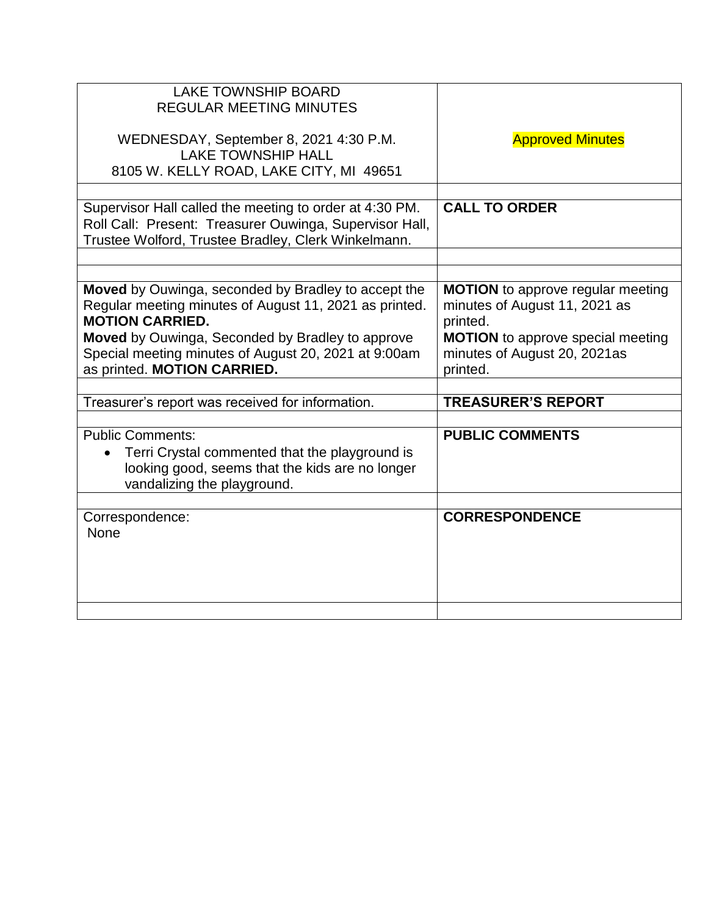| <b>LAKE TOWNSHIP BOARD</b><br><b>REGULAR MEETING MINUTES</b><br>WEDNESDAY, September 8, 2021 4:30 P.M.<br><b>LAKE TOWNSHIP HALL</b><br>8105 W. KELLY ROAD, LAKE CITY, MI 49651                                                                                                     | <b>Approved Minutes</b>                                                                                                                                                       |
|------------------------------------------------------------------------------------------------------------------------------------------------------------------------------------------------------------------------------------------------------------------------------------|-------------------------------------------------------------------------------------------------------------------------------------------------------------------------------|
|                                                                                                                                                                                                                                                                                    |                                                                                                                                                                               |
| Supervisor Hall called the meeting to order at 4:30 PM.<br>Roll Call: Present: Treasurer Ouwinga, Supervisor Hall,<br>Trustee Wolford, Trustee Bradley, Clerk Winkelmann.                                                                                                          | <b>CALL TO ORDER</b>                                                                                                                                                          |
|                                                                                                                                                                                                                                                                                    |                                                                                                                                                                               |
| Moved by Ouwinga, seconded by Bradley to accept the<br>Regular meeting minutes of August 11, 2021 as printed.<br><b>MOTION CARRIED.</b><br>Moved by Ouwinga, Seconded by Bradley to approve<br>Special meeting minutes of August 20, 2021 at 9:00am<br>as printed. MOTION CARRIED. | <b>MOTION</b> to approve regular meeting<br>minutes of August 11, 2021 as<br>printed.<br><b>MOTION</b> to approve special meeting<br>minutes of August 20, 2021as<br>printed. |
|                                                                                                                                                                                                                                                                                    | <b>TREASURER'S REPORT</b>                                                                                                                                                     |
| Treasurer's report was received for information.                                                                                                                                                                                                                                   |                                                                                                                                                                               |
| <b>Public Comments:</b><br>Terri Crystal commented that the playground is<br>looking good, seems that the kids are no longer<br>vandalizing the playground.                                                                                                                        | <b>PUBLIC COMMENTS</b>                                                                                                                                                        |
| Correspondence:<br><b>None</b>                                                                                                                                                                                                                                                     | <b>CORRESPONDENCE</b>                                                                                                                                                         |
|                                                                                                                                                                                                                                                                                    |                                                                                                                                                                               |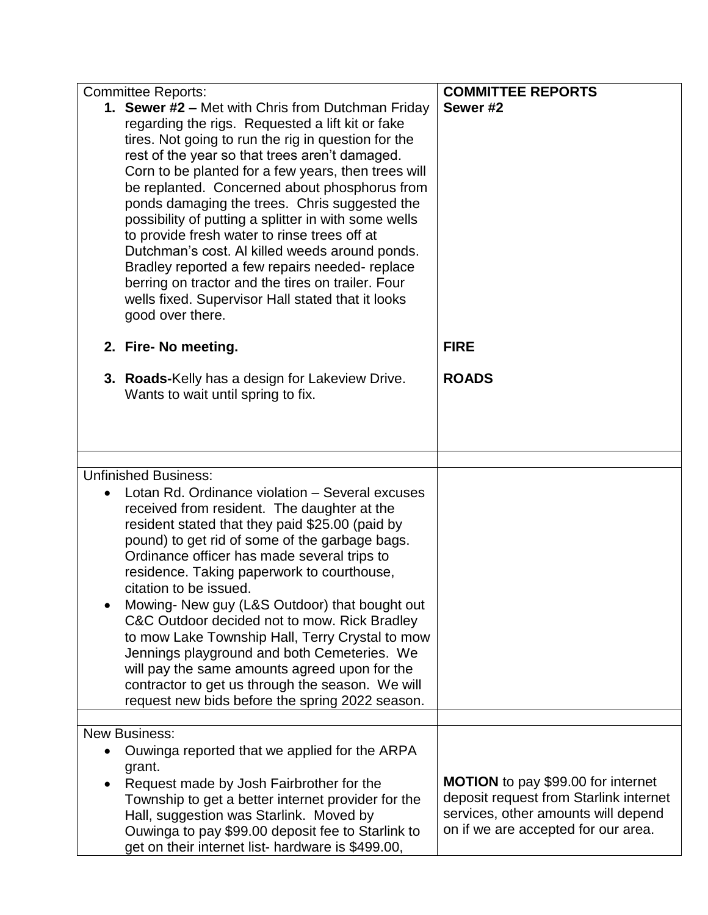|           | <b>Committee Reports:</b>                            | <b>COMMITTEE REPORTS</b>               |
|-----------|------------------------------------------------------|----------------------------------------|
|           | 1. Sewer #2 - Met with Chris from Dutchman Friday    | Sewer #2                               |
|           | regarding the rigs. Requested a lift kit or fake     |                                        |
|           | tires. Not going to run the rig in question for the  |                                        |
|           | rest of the year so that trees aren't damaged.       |                                        |
|           | Corn to be planted for a few years, then trees will  |                                        |
|           | be replanted. Concerned about phosphorus from        |                                        |
|           | ponds damaging the trees. Chris suggested the        |                                        |
|           | possibility of putting a splitter in with some wells |                                        |
|           | to provide fresh water to rinse trees off at         |                                        |
|           | Dutchman's cost. Al killed weeds around ponds.       |                                        |
|           | Bradley reported a few repairs needed-replace        |                                        |
|           | berring on tractor and the tires on trailer. Four    |                                        |
|           | wells fixed. Supervisor Hall stated that it looks    |                                        |
|           | good over there.                                     |                                        |
|           |                                                      | <b>FIRE</b>                            |
|           | 2. Fire- No meeting.                                 |                                        |
|           | 3. Roads-Kelly has a design for Lakeview Drive.      | <b>ROADS</b>                           |
|           | Wants to wait until spring to fix.                   |                                        |
|           |                                                      |                                        |
|           |                                                      |                                        |
|           |                                                      |                                        |
|           | <b>Unfinished Business:</b>                          |                                        |
| $\bullet$ | Lotan Rd. Ordinance violation - Several excuses      |                                        |
|           | received from resident. The daughter at the          |                                        |
|           | resident stated that they paid \$25.00 (paid by      |                                        |
|           | pound) to get rid of some of the garbage bags.       |                                        |
|           | Ordinance officer has made several trips to          |                                        |
|           | residence. Taking paperwork to courthouse,           |                                        |
|           | citation to be issued.                               |                                        |
|           | Mowing- New guy (L&S Outdoor) that bought out        |                                        |
|           | C&C Outdoor decided not to mow. Rick Bradley         |                                        |
|           | to mow Lake Township Hall, Terry Crystal to mow      |                                        |
|           | Jennings playground and both Cemeteries. We          |                                        |
|           | will pay the same amounts agreed upon for the        |                                        |
|           | contractor to get us through the season. We will     |                                        |
|           | request new bids before the spring 2022 season.      |                                        |
|           | <b>New Business:</b>                                 |                                        |
| $\bullet$ | Ouwinga reported that we applied for the ARPA        |                                        |
|           | grant.                                               |                                        |
|           | Request made by Josh Fairbrother for the             | MOTION to pay \$99.00 for internet     |
|           | Township to get a better internet provider for the   | deposit request from Starlink internet |
|           | Hall, suggestion was Starlink. Moved by              | services, other amounts will depend    |
|           | Ouwinga to pay \$99.00 deposit fee to Starlink to    | on if we are accepted for our area.    |
|           | get on their internet list- hardware is \$499.00,    |                                        |